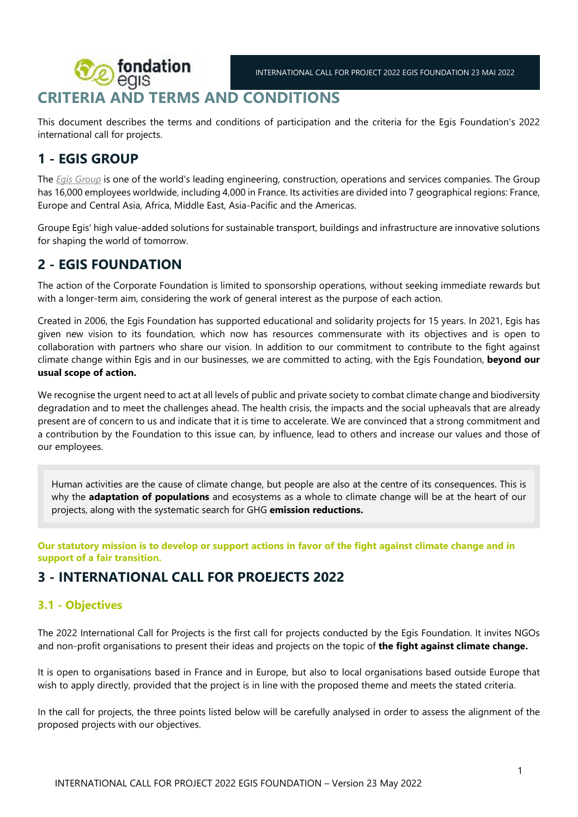# **fondation** INTERNATIONAL CALL FOR PROJECT 2022 EGIS FOUNDATION 23 MAI 2022 **CRITERIA AND TERMS AND CONDITIONS**

This document describes the terms and conditions of participation and the criteria for the Egis Foundation's 2022 international call for projects.

# **1 - EGIS GROUP**

The *[Egis Group](https://www.egis-group.com/fr/la-fondation-egis/le-conseil-d-administration)* is one of the world's leading engineering, construction, operations and services companies. The Group has 16,000 employees worldwide, including 4,000 in France. Its activities are divided into 7 geographical regions: France, Europe and Central Asia, Africa, Middle East, Asia-Pacific and the Americas.

Groupe Egis' high value-added solutions for sustainable transport, buildings and infrastructure are innovative solutions for shaping the world of tomorrow.

# **2 - EGIS FOUNDATION**

The action of the Corporate Foundation is limited to sponsorship operations, without seeking immediate rewards but with a longer-term aim, considering the work of general interest as the purpose of each action.

Created in 2006, the Egis Foundation has supported educational and solidarity projects for 15 years. In 2021, Egis has given new vision to its foundation, which now has resources commensurate with its objectives and is open to collaboration with partners who share our vision. In addition to our commitment to contribute to the fight against climate change within Egis and in our businesses, we are committed to acting, with the Egis Foundation, **beyond our usual scope of action.**

We recognise the urgent need to act at all levels of public and private society to combat climate change and biodiversity degradation and to meet the challenges ahead. The health crisis, the impacts and the social upheavals that are already present are of concern to us and indicate that it is time to accelerate. We are convinced that a strong commitment and a contribution by the Foundation to this issue can, by influence, lead to others and increase our values and those of our employees.

Human activities are the cause of climate change, but people are also at the centre of its consequences. This is why the **adaptation of populations** and ecosystems as a whole to climate change will be at the heart of our projects, along with the systematic search for GHG **emission reductions.**

**Our statutory mission is to develop or support actions in favor of the fight against climate change and in support of a fair transition.** 

# **3 - INTERNATIONAL CALL FOR PROEJECTS 2022**

## **3.1 - Objectives**

The 2022 International Call for Projects is the first call for projects conducted by the Egis Foundation. It invites NGOs and non-profit organisations to present their ideas and projects on the topic of **the fight against climate change.**

It is open to organisations based in France and in Europe, but also to local organisations based outside Europe that wish to apply directly, provided that the project is in line with the proposed theme and meets the stated criteria.

In the call for projects, the three points listed below will be carefully analysed in order to assess the alignment of the proposed projects with our objectives.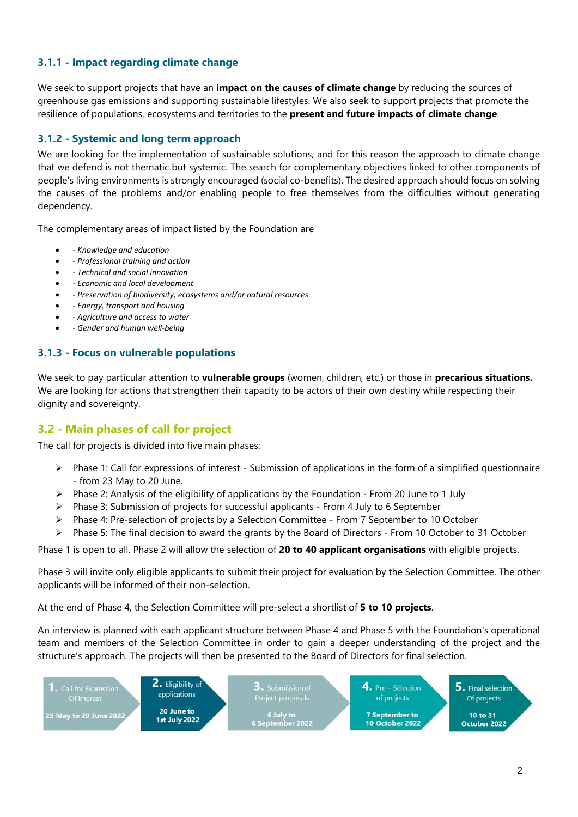### **3.1.1 - Impact regarding climate change**

We seek to support projects that have an **impact on the causes of climate change** by reducing the sources of greenhouse gas emissions and supporting sustainable lifestyles. We also seek to support projects that promote the resilience of populations, ecosystems and territories to the **present and future impacts of climate change**.

### **3.1.2 - Systemic and long term approach**

We are looking for the implementation of sustainable solutions, and for this reason the approach to climate change that we defend is not thematic but systemic. The search for complementary objectives linked to other components of people's living environments is strongly encouraged (social co-benefits). The desired approach should focus on solving the causes of the problems and/or enabling people to free themselves from the difficulties without generating dependency.

The complementary areas of impact listed by the Foundation are

- *Knowledge and education*
- *Professional training and action*
- *Technical and social innovation*
- *Economic and local development*
- *Preservation of biodiversity, ecosystems and/or natural resources*
- *Energy, transport and housing*
- *Agriculture and access to water*
- *Gender and human well-being*

### **3.1.3 - Focus on vulnerable populations**

We seek to pay particular attention to **vulnerable groups** (women, children, etc.) or those in **precarious situations.**  We are looking for actions that strengthen their capacity to be actors of their own destiny while respecting their dignity and sovereignty.

### **3.2 - Main phases of call for project**

The call for projects is divided into five main phases:

- $\triangleright$  Phase 1: Call for expressions of interest Submission of applications in the form of a simplified questionnaire - from 23 May to 20 June.
- $\triangleright$  Phase 2: Analysis of the eligibility of applications by the Foundation From 20 June to 1 July
- $\triangleright$  Phase 3: Submission of projects for successful applicants From 4 July to 6 September
- $\triangleright$  Phase 4: Pre-selection of projects by a Selection Committee From 7 September to 10 October
- $\triangleright$  Phase 5: The final decision to award the grants by the Board of Directors From 10 October to 31 October

Phase 1 is open to all. Phase 2 will allow the selection of **20 to 40 applicant organisations** with eligible projects.

Phase 3 will invite only eligible applicants to submit their project for evaluation by the Selection Committee. The other applicants will be informed of their non-selection.

At the end of Phase 4, the Selection Committee will pre-select a shortlist of **5 to 10 projects**.

An interview is planned with each applicant structure between Phase 4 and Phase 5 with the Foundation's operational team and members of the Selection Committee in order to gain a deeper understanding of the project and the structure's approach. The projects will then be presented to the Board of Directors for final selection.

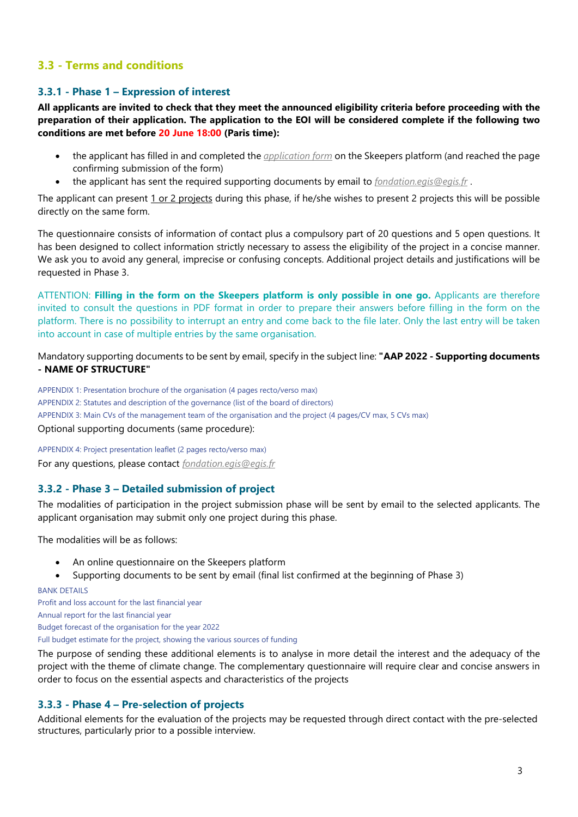## **3.3 - Terms and conditions**

#### **3.3.1 - Phase 1 – Expression of interest**

**All applicants are invited to check that they meet the announced eligibility criteria before proceeding with the preparation of their application. The application to the EOI will be considered complete if the following two conditions are met before 20 June 18:00 (Paris time):** 

- the applicant has filled in and completed the *[application form](https://go.survey.egis.fr/jT)* on the Skeepers platform (and reached the page confirming submission of the form)
- the applicant has sent the required supporting documents by email to *[fondation.egis@egis.fr](mailto:fondation.egis@egis.fr)* .

The applicant can present 1 or 2 projects during this phase, if he/she wishes to present 2 projects this will be possible directly on the same form.

The questionnaire consists of information of contact plus a compulsory part of 20 questions and 5 open questions. It has been designed to collect information strictly necessary to assess the eligibility of the project in a concise manner. We ask you to avoid any general, imprecise or confusing concepts. Additional project details and justifications will be requested in Phase 3.

ATTENTION: **Filling in the form on the Skeepers platform is only possible in one go.** Applicants are therefore invited to consult the questions in PDF format in order to prepare their answers before filling in the form on the platform. There is no possibility to interrupt an entry and come back to the file later. Only the last entry will be taken into account in case of multiple entries by the same organisation.

Mandatory supporting documents to be sent by email, specify in the subject line: **"AAP 2022 - Supporting documents - NAME OF STRUCTURE"**

APPENDIX 1: Presentation brochure of the organisation (4 pages recto/verso max) APPENDIX 2: Statutes and description of the governance (list of the board of directors) APPENDIX 3: Main CVs of the management team of the organisation and the project (4 pages/CV max, 5 CVs max) Optional supporting documents (same procedure):

APPENDIX 4: Project presentation leaflet (2 pages recto/verso max) For any questions, please contact *[fondation.egis@egis.fr](mailto:fondation.egis@egis.fr)*

#### **3.3.2 - Phase 3 – Detailed submission of project**

The modalities of participation in the project submission phase will be sent by email to the selected applicants. The applicant organisation may submit only one project during this phase.

The modalities will be as follows:

An online questionnaire on the Skeepers platform

Supporting documents to be sent by email (final list confirmed at the beginning of Phase 3)

**BANK DETAILS** 

Profit and loss account for the last financial year Annual report for the last financial year Budget forecast of the organisation for the year 2022 Full budget estimate for the project, showing the various sources of funding

The purpose of sending these additional elements is to analyse in more detail the interest and the adequacy of the project with the theme of climate change. The complementary questionnaire will require clear and concise answers in order to focus on the essential aspects and characteristics of the projects

#### **3.3.3 - Phase 4 – Pre-selection of projects**

Additional elements for the evaluation of the projects may be requested through direct contact with the pre-selected structures, particularly prior to a possible interview.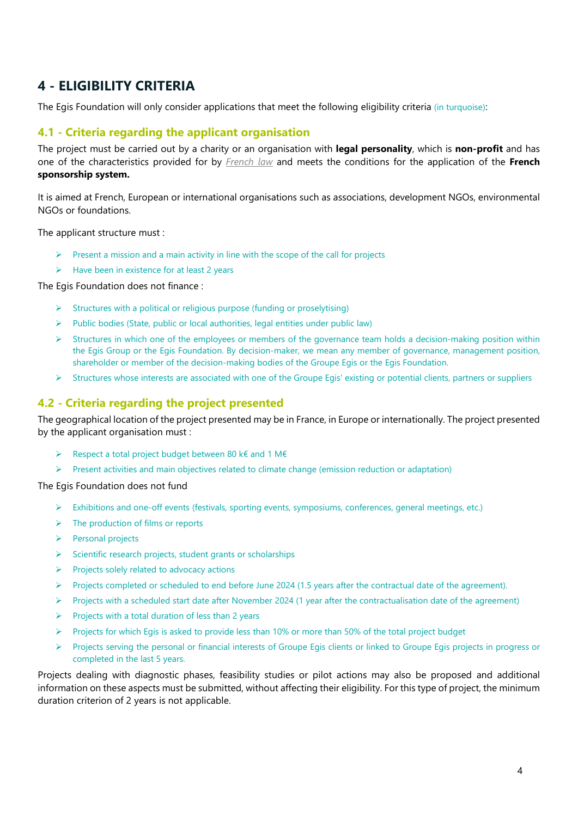# **4 - ELIGIBILITY CRITERIA**

The Egis Foundation will only consider applications that meet the following eligibility criteria (in turquoise):

### **4.1 - Criteria regarding the applicant organisation**

The project must be carried out by a charity or an organisation with **legal personality**, which is **non-profit** and has one of the characteristics provided for by *[French law](https://bofip.impots.gouv.fr/bofip/10963-PGP.html/identifiant%3DBOI-BIC-RICI-20-30-10-10-20170510)* and meets the conditions for the application of the **French sponsorship system.** 

It is aimed at French, European or international organisations such as associations, development NGOs, environmental NGOs or foundations.

The applicant structure must :

- $\triangleright$  Present a mission and a main activity in line with the scope of the call for projects
- $\triangleright$  Have been in existence for at least 2 years

The Egis Foundation does not finance :

- $\triangleright$  Structures with a political or religious purpose (funding or proselytising)
- $\triangleright$  Public bodies (State, public or local authorities, legal entities under public law)
- $\triangleright$  Structures in which one of the employees or members of the governance team holds a decision-making position within the Egis Group or the Egis Foundation. By decision-maker, we mean any member of governance, management position, shareholder or member of the decision-making bodies of the Groupe Egis or the Egis Foundation.
- $\triangleright$  Structures whose interests are associated with one of the Groupe Egis' existing or potential clients, partners or suppliers

### **4.2 - Criteria regarding the project presented**

The geographical location of the project presented may be in France, in Europe or internationally. The project presented by the applicant organisation must :

- Respect a total project budget between 80 k€ and 1 M€
- $\triangleright$  Present activities and main objectives related to climate change (emission reduction or adaptation)

The Egis Foundation does not fund

- $\triangleright$  Exhibitions and one-off events (festivals, sporting events, symposiums, conferences, general meetings, etc.)
- $\triangleright$  The production of films or reports
- $\triangleright$  Personal projects
- $\triangleright$  Scientific research projects, student grants or scholarships
- $\triangleright$  Projects solely related to advocacy actions
- Projects completed or scheduled to end before June 2024 (1.5 years after the contractual date of the agreement).
- $\triangleright$  Projects with a scheduled start date after November 2024 (1 year after the contractualisation date of the agreement)
- $\triangleright$  Projects with a total duration of less than 2 years
- Projects for which Egis is asked to provide less than 10% or more than 50% of the total project budget
- $\triangleright$  Projects serving the personal or financial interests of Groupe Egis clients or linked to Groupe Egis projects in progress or completed in the last 5 years.

Projects dealing with diagnostic phases, feasibility studies or pilot actions may also be proposed and additional information on these aspects must be submitted, without affecting their eligibility. For this type of project, the minimum duration criterion of 2 years is not applicable.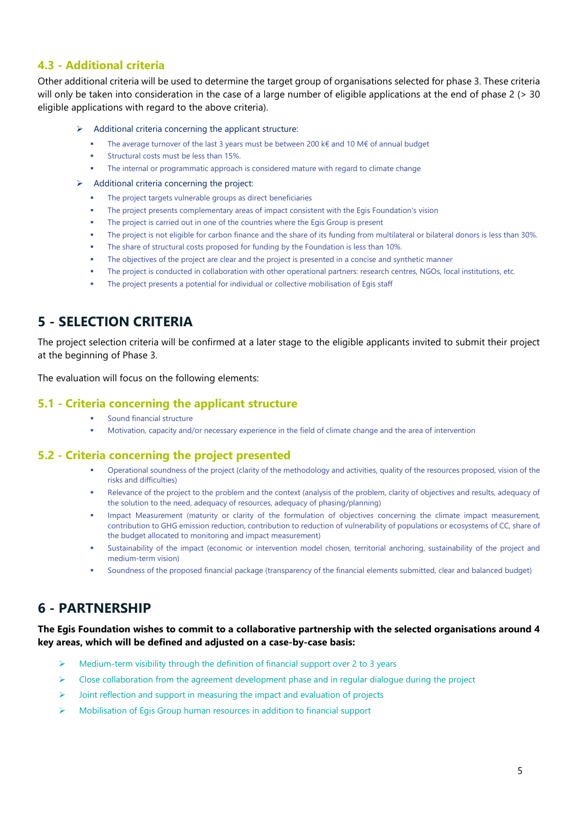### **4.3 - Additional criteria**

Other additional criteria will be used to determine the target group of organisations selected for phase 3. These criteria will only be taken into consideration in the case of a large number of eligible applications at the end of phase 2 (> 30 eligible applications with regard to the above criteria).

#### Additional criteria concerning the applicant structure:

- The average turnover of the last 3 years must be between 200 k€ and 10 M€ of annual budget
- Structural costs must be less than 15%.
- The internal or programmatic approach is considered mature with regard to climate change

#### $\triangleright$  Additional criteria concerning the project:

- The project targets vulnerable groups as direct beneficiaries
- The project presents complementary areas of impact consistent with the Egis Foundation's vision
- The project is carried out in one of the countries where the Egis Group is present
- The project is not eligible for carbon finance and the share of its funding from multilateral or bilateral donors is less than 30%.
- The share of structural costs proposed for funding by the Foundation is less than 10%.
- The objectives of the project are clear and the project is presented in a concise and synthetic manner
- The project is conducted in collaboration with other operational partners: research centres, NGOs, local institutions, etc.
- The project presents a potential for individual or collective mobilisation of Egis staff

## **5 - SELECTION CRITERIA**

The project selection criteria will be confirmed at a later stage to the eligible applicants invited to submit their project at the beginning of Phase 3.

The evaluation will focus on the following elements:

#### **5.1 - Criteria concerning the applicant structure**

- **Sound financial structure**
- Motivation, capacity and/or necessary experience in the field of climate change and the area of intervention

#### **5.2 - Criteria concerning the project presented**

- Operational soundness of the project (clarity of the methodology and activities, quality of the resources proposed, vision of the risks and difficulties)
- Relevance of the project to the problem and the context (analysis of the problem, clarity of objectives and results, adequacy of the solution to the need, adequacy of resources, adequacy of phasing/planning)
- Impact Measurement (maturity or clarity of the formulation of objectives concerning the climate impact measurement, contribution to GHG emission reduction, contribution to reduction of vulnerability of populations or ecosystems of CC, share of the budget allocated to monitoring and impact measurement)
- Sustainability of the impact (economic or intervention model chosen, territorial anchoring, sustainability of the project and medium-term vision)
- Soundness of the proposed financial package (transparency of the financial elements submitted, clear and balanced budget)

## **6 - PARTNERSHIP**

#### **The Egis Foundation wishes to commit to a collaborative partnership with the selected organisations around 4 key areas, which will be defined and adjusted on a case-by-case basis:**

- $\triangleright$  Medium-term visibility through the definition of financial support over 2 to 3 years
- $\triangleright$  Close collaboration from the agreement development phase and in regular dialogue during the project
- $\triangleright$  Joint reflection and support in measuring the impact and evaluation of projects
- Mobilisation of Egis Group human resources in addition to financial support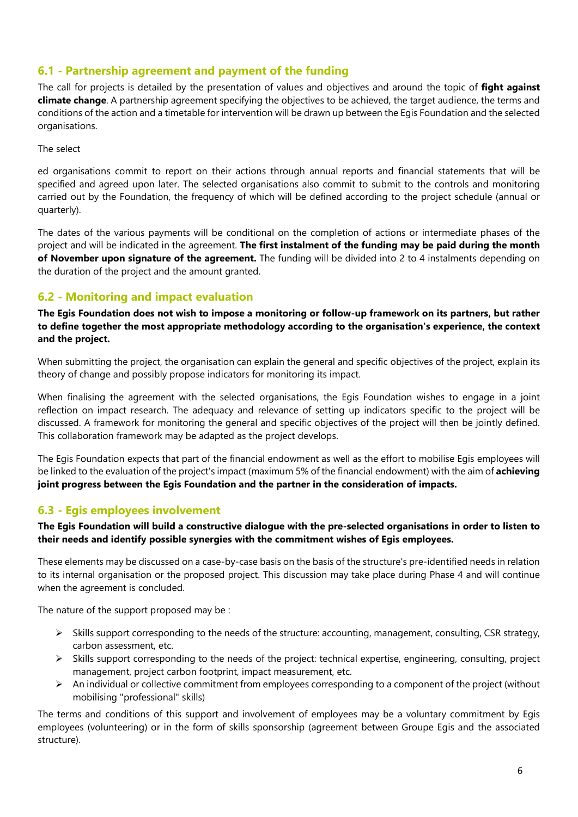## **6.1 - Partnership agreement and payment of the funding**

The call for projects is detailed by the presentation of values and objectives and around the topic of **fight against climate change**. A partnership agreement specifying the objectives to be achieved, the target audience, the terms and conditions of the action and a timetable for intervention will be drawn up between the Egis Foundation and the selected organisations.

The select

ed organisations commit to report on their actions through annual reports and financial statements that will be specified and agreed upon later. The selected organisations also commit to submit to the controls and monitoring carried out by the Foundation, the frequency of which will be defined according to the project schedule (annual or quarterly).

The dates of the various payments will be conditional on the completion of actions or intermediate phases of the project and will be indicated in the agreement. **The first instalment of the funding may be paid during the month of November upon signature of the agreement.** The funding will be divided into 2 to 4 instalments depending on the duration of the project and the amount granted.

## **6.2 - Monitoring and impact evaluation**

**The Egis Foundation does not wish to impose a monitoring or follow-up framework on its partners, but rather to define together the most appropriate methodology according to the organisation's experience, the context and the project.** 

When submitting the project, the organisation can explain the general and specific objectives of the project, explain its theory of change and possibly propose indicators for monitoring its impact.

When finalising the agreement with the selected organisations, the Egis Foundation wishes to engage in a joint reflection on impact research. The adequacy and relevance of setting up indicators specific to the project will be discussed. A framework for monitoring the general and specific objectives of the project will then be jointly defined. This collaboration framework may be adapted as the project develops.

The Egis Foundation expects that part of the financial endowment as well as the effort to mobilise Egis employees will be linked to the evaluation of the project's impact (maximum 5% of the financial endowment) with the aim of **achieving joint progress between the Egis Foundation and the partner in the consideration of impacts.**

## **6.3 - Egis employees involvement**

**The Egis Foundation will build a constructive dialogue with the pre-selected organisations in order to listen to their needs and identify possible synergies with the commitment wishes of Egis employees.** 

These elements may be discussed on a case-by-case basis on the basis of the structure's pre-identified needs in relation to its internal organisation or the proposed project. This discussion may take place during Phase 4 and will continue when the agreement is concluded.

The nature of the support proposed may be :

- $\triangleright$  Skills support corresponding to the needs of the structure: accounting, management, consulting, CSR strategy, carbon assessment, etc.
- $\triangleright$  Skills support corresponding to the needs of the project: technical expertise, engineering, consulting, project management, project carbon footprint, impact measurement, etc.
- $\triangleright$  An individual or collective commitment from employees corresponding to a component of the project (without mobilising "professional" skills)

The terms and conditions of this support and involvement of employees may be a voluntary commitment by Egis employees (volunteering) or in the form of skills sponsorship (agreement between Groupe Egis and the associated structure).